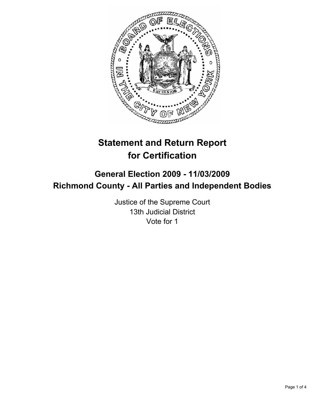

# **Statement and Return Report for Certification**

## **General Election 2009 - 11/03/2009 Richmond County - All Parties and Independent Bodies**

Justice of the Supreme Court 13th Judicial District Vote for 1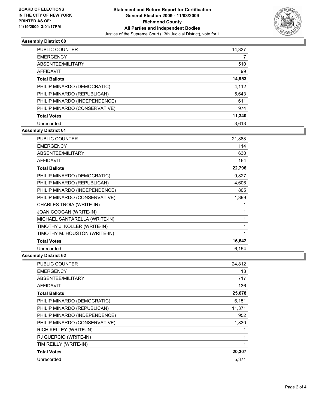

## **Assembly District 60**

| <b>PUBLIC COUNTER</b>         | 14,337 |
|-------------------------------|--------|
| <b>EMERGENCY</b>              |        |
| ABSENTEE/MILITARY             | 510    |
| AFFIDAVIT                     | 99     |
| <b>Total Ballots</b>          | 14,953 |
| PHILIP MINARDO (DEMOCRATIC)   | 4,112  |
| PHILIP MINARDO (REPUBLICAN)   | 5,643  |
| PHILIP MINARDO (INDEPENDENCE) | 611    |
| PHILIP MINARDO (CONSERVATIVE) | 974    |
| <b>Total Votes</b>            | 11,340 |
| Unrecorded                    | 3.613  |

## **Assembly District 61**

| <b>PUBLIC COUNTER</b>         | 21,888       |
|-------------------------------|--------------|
| <b>EMERGENCY</b>              | 114          |
| ABSENTEE/MILITARY             | 630          |
| <b>AFFIDAVIT</b>              | 164          |
| <b>Total Ballots</b>          | 22,796       |
| PHILIP MINARDO (DEMOCRATIC)   | 9,827        |
| PHILIP MINARDO (REPUBLICAN)   | 4,606        |
| PHILIP MINARDO (INDEPENDENCE) | 805          |
| PHILIP MINARDO (CONSERVATIVE) | 1,399        |
| CHARLES TROIA (WRITE-IN)      | 1            |
| JOAN COOGAN (WRITE-IN)        | 1            |
| MICHAEL SANTARELLA (WRITE-IN) | 1            |
| TIMOTHY J. KOLLER (WRITE-IN)  | 1            |
| TIMOTHY M. HOUSTON (WRITE-IN) | $\mathbf{1}$ |
| <b>Total Votes</b>            | 16,642       |
| Unrecorded                    | 6.154        |

### **Assembly District 62**

| PUBLIC COUNTER                | 24,812 |
|-------------------------------|--------|
| <b>EMERGENCY</b>              | 13     |
| ABSENTEE/MILITARY             | 717    |
| AFFIDAVIT                     | 136    |
| <b>Total Ballots</b>          | 25,678 |
| PHILIP MINARDO (DEMOCRATIC)   | 6,151  |
| PHILIP MINARDO (REPUBLICAN)   | 11,371 |
| PHILIP MINARDO (INDEPENDENCE) | 952    |
| PHILIP MINARDO (CONSERVATIVE) | 1,830  |
| RICH KELLEY (WRITE-IN)        |        |
| RJ GUERCIO (WRITE-IN)         | 1      |
| TIM REILLY (WRITE-IN)         | 1      |
| <b>Total Votes</b>            | 20,307 |
| Unrecorded                    | 5,371  |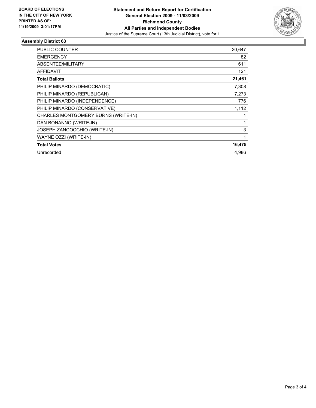

## **Assembly District 63**

| PUBLIC COUNTER                      | 20,647 |
|-------------------------------------|--------|
| <b>EMERGENCY</b>                    | 82     |
| ABSENTEE/MILITARY                   | 611    |
| <b>AFFIDAVIT</b>                    | 121    |
| <b>Total Ballots</b>                | 21,461 |
| PHILIP MINARDO (DEMOCRATIC)         | 7,308  |
| PHILIP MINARDO (REPUBLICAN)         | 7,273  |
| PHILIP MINARDO (INDEPENDENCE)       | 776    |
| PHILIP MINARDO (CONSERVATIVE)       | 1,112  |
| CHARLES MONTGOMERY BURNS (WRITE-IN) |        |
| DAN BONANNO (WRITE-IN)              | 1      |
| JOSEPH ZANCOCCHIO (WRITE-IN)        | 3      |
| WAYNE OZZI (WRITE-IN)               | 1      |
| <b>Total Votes</b>                  | 16,475 |
| Unrecorded                          | 4,986  |